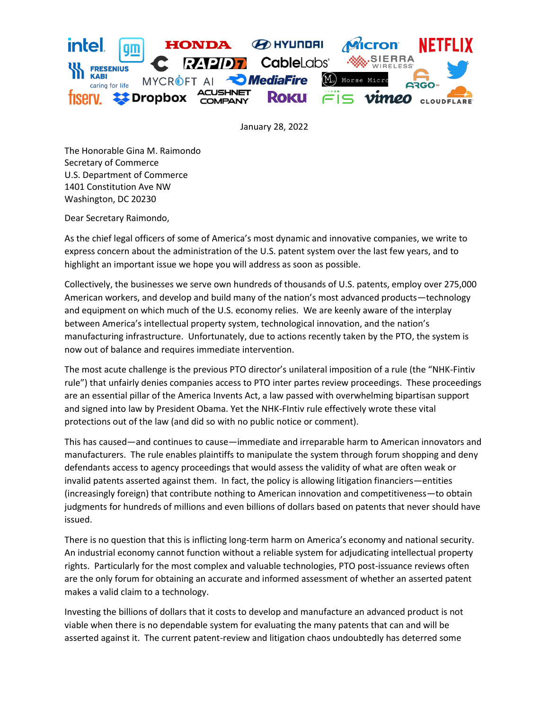

January 28, 2022

The Honorable Gina M. Raimondo Secretary of Commerce U.S. Department of Commerce 1401 Constitution Ave NW Washington, DC 20230

Dear Secretary Raimondo,

As the chief legal officers of some of America's most dynamic and innovative companies, we write to express concern about the administration of the U.S. patent system over the last few years, and to highlight an important issue we hope you will address as soon as possible.

Collectively, the businesses we serve own hundreds of thousands of U.S. patents, employ over 275,000 American workers, and develop and build many of the nation's most advanced products—technology and equipment on which much of the U.S. economy relies. We are keenly aware of the interplay between America's intellectual property system, technological innovation, and the nation's manufacturing infrastructure. Unfortunately, due to actions recently taken by the PTO, the system is now out of balance and requires immediate intervention.

The most acute challenge is the previous PTO director's unilateral imposition of a rule (the "NHK-Fintiv rule") that unfairly denies companies access to PTO inter partes review proceedings. These proceedings are an essential pillar of the America Invents Act, a law passed with overwhelming bipartisan support and signed into law by President Obama. Yet the NHK-FIntiv rule effectively wrote these vital protections out of the law (and did so with no public notice or comment).

This has caused—and continues to cause—immediate and irreparable harm to American innovators and manufacturers. The rule enables plaintiffs to manipulate the system through forum shopping and deny defendants access to agency proceedings that would assess the validity of what are often weak or invalid patents asserted against them. In fact, the policy is allowing litigation financiers—entities (increasingly foreign) that contribute nothing to American innovation and competitiveness—to obtain judgments for hundreds of millions and even billions of dollars based on patents that never should have issued.

There is no question that this is inflicting long-term harm on America's economy and national security. An industrial economy cannot function without a reliable system for adjudicating intellectual property rights. Particularly for the most complex and valuable technologies, PTO post-issuance reviews often are the only forum for obtaining an accurate and informed assessment of whether an asserted patent makes a valid claim to a technology.

Investing the billions of dollars that it costs to develop and manufacture an advanced product is not viable when there is no dependable system for evaluating the many patents that can and will be asserted against it. The current patent-review and litigation chaos undoubtedly has deterred some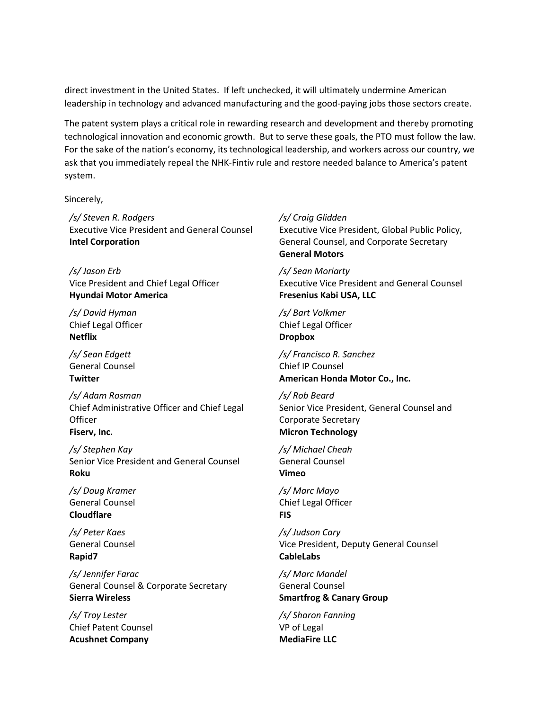direct investment in the United States. If left unchecked, it will ultimately undermine American leadership in technology and advanced manufacturing and the good-paying jobs those sectors create.

The patent system plays a critical role in rewarding research and development and thereby promoting technological innovation and economic growth. But to serve these goals, the PTO must follow the law. For the sake of the nation's economy, its technological leadership, and workers across our country, we ask that you immediately repeal the NHK-Fintiv rule and restore needed balance to America's patent system.

Sincerely,

*/s/ Steven R. Rodgers* Executive Vice President and General Counsel **Intel Corporation**

*/s/ Jason Erb* Vice President and Chief Legal Officer **Hyundai Motor America**

*/s/ David Hyman* Chief Legal Officer **Netflix**

*/s/ Sean Edgett* General Counsel **Twitter**

*/s/ Adam Rosman* Chief Administrative Officer and Chief Legal **Officer Fiserv, Inc.**

*/s/ Stephen Kay* Senior Vice President and General Counsel **Roku**

*/s/ Doug Kramer* General Counsel **Cloudflare**

*/s/ Peter Kaes* General Counsel **Rapid7**

*/s/ Jennifer Farac* General Counsel & Corporate Secretary **Sierra Wireless**

*/s/ Troy Lester* Chief Patent Counsel **Acushnet Company**

## */s/ Craig Glidden*

Executive Vice President, Global Public Policy, General Counsel, and Corporate Secretary **General Motors**

*/s/ Sean Moriarty* Executive Vice President and General Counsel **Fresenius Kabi USA, LLC**

*/s/ Bart Volkmer* Chief Legal Officer **Dropbox**

*/s/ Francisco R. Sanchez* Chief IP Counsel **American Honda Motor Co., Inc.**

*/s/ Rob Beard* Senior Vice President, General Counsel and Corporate Secretary **Micron Technology**

*/s/ Michael Cheah* General Counsel **Vimeo**

*/s/ Marc Mayo* Chief Legal Officer **FIS**

*/s/ Judson Cary* Vice President, Deputy General Counsel **CableLabs**

*/s/ Marc Mandel*  General Counsel **Smartfrog & Canary Group**

*/s/ Sharon Fanning* VP of Legal **MediaFire LLC**